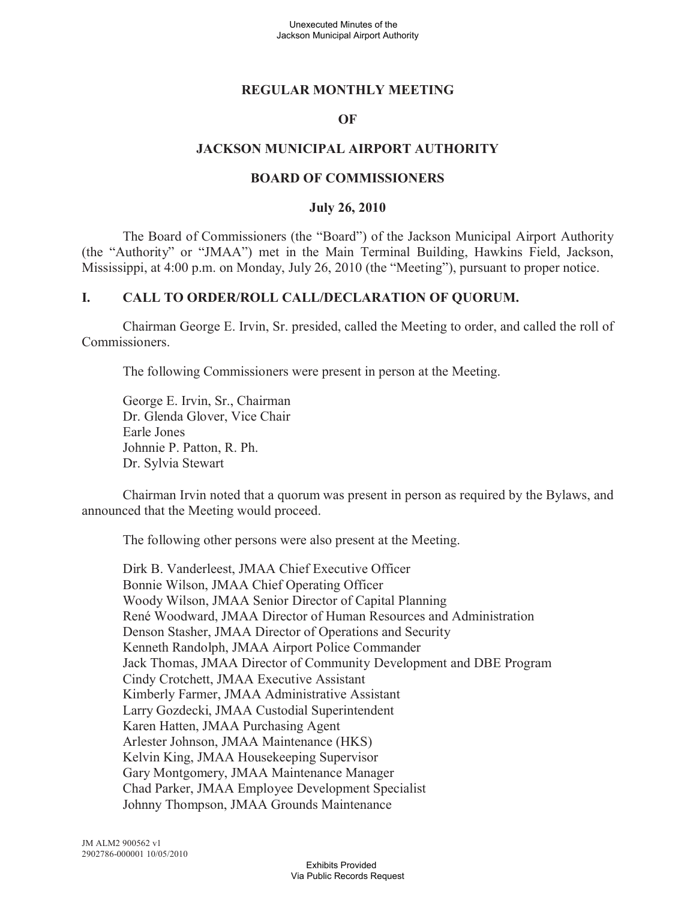## **REGULAR MONTHLY MEETING**

### **OF**

### **JACKSON MUNICIPAL AIRPORT AUTHORITY**

#### **BOARD OF COMMISSIONERS**

#### **July 26, 2010**

The Board of Commissioners (the "Board") of the Jackson Municipal Airport Authority (the "Authority" or "JMAA") met in the Main Terminal Building, Hawkins Field, Jackson, Mississippi, at 4:00 p.m. on Monday, July 26, 2010 (the "Meeting"), pursuant to proper notice.

#### **I. CALL TO ORDER/ROLL CALL/DECLARATION OF QUORUM.**

Chairman George E. Irvin, Sr. presided, called the Meeting to order, and called the roll of Commissioners.

The following Commissioners were present in person at the Meeting.

George E. Irvin, Sr., Chairman Dr. Glenda Glover, Vice Chair Earle Jones Johnnie P. Patton, R. Ph. Dr. Sylvia Stewart

Chairman Irvin noted that a quorum was present in person as required by the Bylaws, and announced that the Meeting would proceed.

The following other persons were also present at the Meeting.

Dirk B. Vanderleest, JMAA Chief Executive Officer Bonnie Wilson, JMAA Chief Operating Officer Woody Wilson, JMAA Senior Director of Capital Planning René Woodward, JMAA Director of Human Resources and Administration Denson Stasher, JMAA Director of Operations and Security Kenneth Randolph, JMAA Airport Police Commander Jack Thomas, JMAA Director of Community Development and DBE Program Cindy Crotchett, JMAA Executive Assistant Kimberly Farmer, JMAA Administrative Assistant Larry Gozdecki, JMAA Custodial Superintendent Karen Hatten, JMAA Purchasing Agent Arlester Johnson, JMAA Maintenance (HKS) Kelvin King, JMAA Housekeeping Supervisor Gary Montgomery, JMAA Maintenance Manager Chad Parker, JMAA Employee Development Specialist Johnny Thompson, JMAA Grounds Maintenance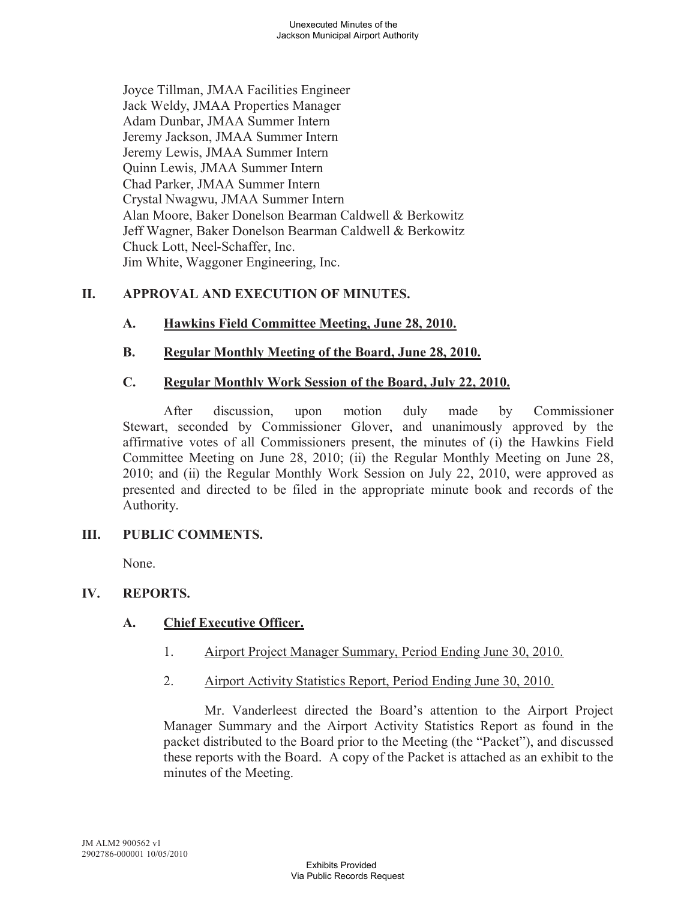Joyce Tillman, JMAA Facilities Engineer Jack Weldy, JMAA Properties Manager Adam Dunbar, JMAA Summer Intern Jeremy Jackson, JMAA Summer Intern Jeremy Lewis, JMAA Summer Intern Quinn Lewis, JMAA Summer Intern Chad Parker, JMAA Summer Intern Crystal Nwagwu, JMAA Summer Intern Alan Moore, Baker Donelson Bearman Caldwell & Berkowitz Jeff Wagner, Baker Donelson Bearman Caldwell & Berkowitz Chuck Lott, Neel-Schaffer, Inc. Jim White, Waggoner Engineering, Inc.

# **II. APPROVAL AND EXECUTION OF MINUTES.**

## **A. Hawkins Field Committee Meeting, June 28, 2010.**

## **B. Regular Monthly Meeting of the Board, June 28, 2010.**

## **C. Regular Monthly Work Session of the Board, July 22, 2010.**

After discussion, upon motion duly made by Commissioner Stewart, seconded by Commissioner Glover, and unanimously approved by the affirmative votes of all Commissioners present, the minutes of (i) the Hawkins Field Committee Meeting on June 28, 2010; (ii) the Regular Monthly Meeting on June 28, 2010; and (ii) the Regular Monthly Work Session on July 22, 2010, were approved as presented and directed to be filed in the appropriate minute book and records of the Authority.

## **III. PUBLIC COMMENTS.**

None.

## **IV. REPORTS.**

## **A. Chief Executive Officer.**

- 1. Airport Project Manager Summary, Period Ending June 30, 2010.
- 2. Airport Activity Statistics Report, Period Ending June 30, 2010.

Mr. Vanderleest directed the Board's attention to the Airport Project Manager Summary and the Airport Activity Statistics Report as found in the packet distributed to the Board prior to the Meeting (the "Packet"), and discussed these reports with the Board. A copy of the Packet is attached as an exhibit to the minutes of the Meeting.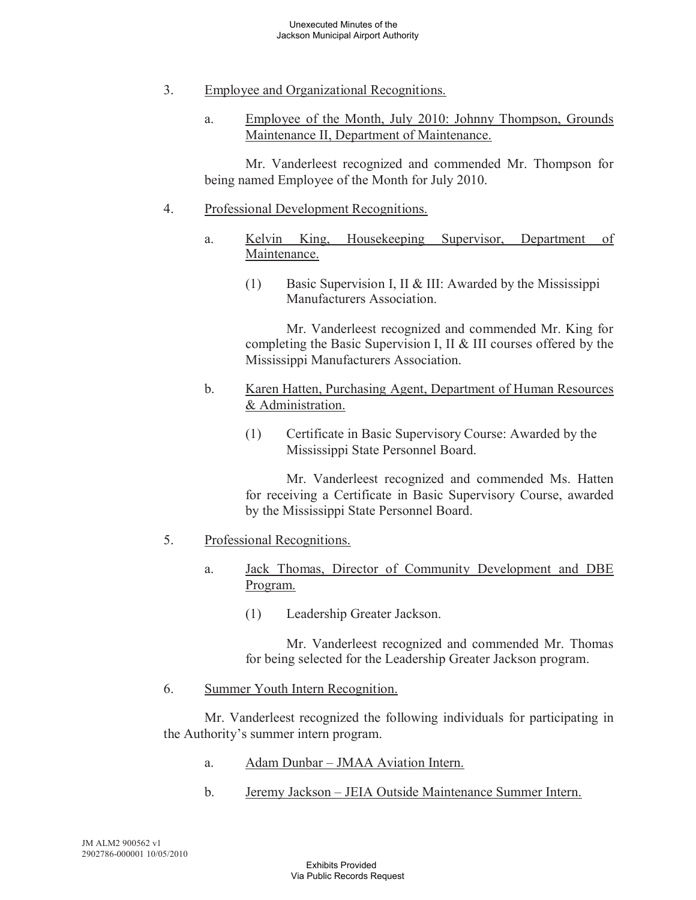- 3. Employee and Organizational Recognitions.
	- a. Employee of the Month, July 2010: Johnny Thompson, Grounds Maintenance II, Department of Maintenance.

Mr. Vanderleest recognized and commended Mr. Thompson for being named Employee of the Month for July 2010.

# 4. Professional Development Recognitions.

- a. Kelvin King, Housekeeping Supervisor, Department of Maintenance.
	- (1) Basic Supervision I, II & III: Awarded by the Mississippi Manufacturers Association.

Mr. Vanderleest recognized and commended Mr. King for completing the Basic Supervision I, II & III courses offered by the Mississippi Manufacturers Association.

- b. Karen Hatten, Purchasing Agent, Department of Human Resources & Administration.
	- (1) Certificate in Basic Supervisory Course: Awarded by the Mississippi State Personnel Board.

Mr. Vanderleest recognized and commended Ms. Hatten for receiving a Certificate in Basic Supervisory Course, awarded by the Mississippi State Personnel Board.

## 5. Professional Recognitions.

- a. Jack Thomas, Director of Community Development and DBE Program.
	- (1) Leadership Greater Jackson.

Mr. Vanderleest recognized and commended Mr. Thomas for being selected for the Leadership Greater Jackson program.

6. Summer Youth Intern Recognition.

Mr. Vanderleest recognized the following individuals for participating in the Authority's summer intern program.

- a. Adam Dunbar JMAA Aviation Intern.
- b. Jeremy Jackson JEIA Outside Maintenance Summer Intern.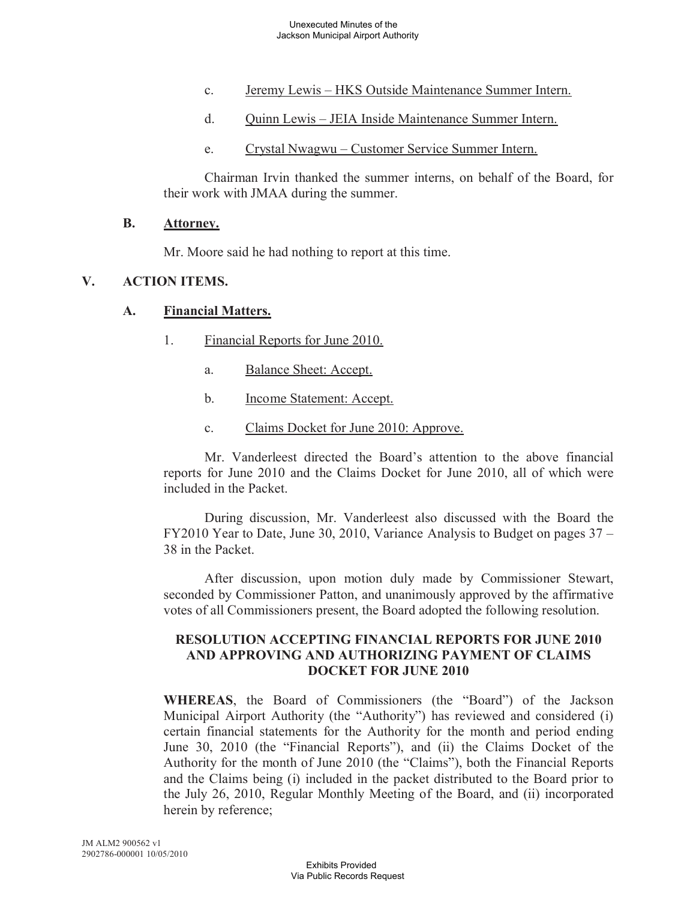- c. Jeremy Lewis HKS Outside Maintenance Summer Intern.
- d. Quinn Lewis JEIA Inside Maintenance Summer Intern.
- e. Crystal Nwagwu Customer Service Summer Intern.

Chairman Irvin thanked the summer interns, on behalf of the Board, for their work with JMAA during the summer.

#### **B. Attorney.**

Mr. Moore said he had nothing to report at this time.

### **V. ACTION ITEMS.**

#### **A. Financial Matters.**

- 1. Financial Reports for June 2010.
	- a. Balance Sheet: Accept.
	- b. Income Statement: Accept.
	- c. Claims Docket for June 2010: Approve.

Mr. Vanderleest directed the Board's attention to the above financial reports for June 2010 and the Claims Docket for June 2010, all of which were included in the Packet.

During discussion, Mr. Vanderleest also discussed with the Board the FY2010 Year to Date, June 30, 2010, Variance Analysis to Budget on pages 37 – 38 in the Packet.

After discussion, upon motion duly made by Commissioner Stewart, seconded by Commissioner Patton, and unanimously approved by the affirmative votes of all Commissioners present, the Board adopted the following resolution.

### **RESOLUTION ACCEPTING FINANCIAL REPORTS FOR JUNE 2010 AND APPROVING AND AUTHORIZING PAYMENT OF CLAIMS DOCKET FOR JUNE 2010**

**WHEREAS**, the Board of Commissioners (the "Board") of the Jackson Municipal Airport Authority (the "Authority") has reviewed and considered (i) certain financial statements for the Authority for the month and period ending June 30, 2010 (the "Financial Reports"), and (ii) the Claims Docket of the Authority for the month of June 2010 (the "Claims"), both the Financial Reports and the Claims being (i) included in the packet distributed to the Board prior to the July 26, 2010, Regular Monthly Meeting of the Board, and (ii) incorporated herein by reference;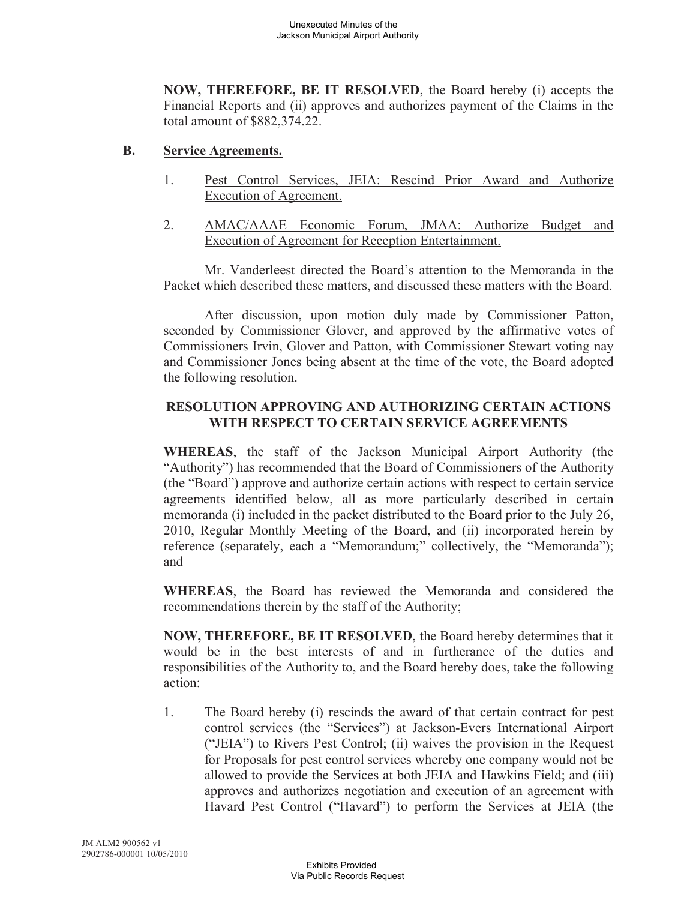**NOW, THEREFORE, BE IT RESOLVED**, the Board hereby (i) accepts the Financial Reports and (ii) approves and authorizes payment of the Claims in the total amount of \$882,374.22.

### **B. Service Agreements.**

- 1. Pest Control Services, JEIA: Rescind Prior Award and Authorize Execution of Agreement.
- 2. AMAC/AAAE Economic Forum, JMAA: Authorize Budget and Execution of Agreement for Reception Entertainment.

Mr. Vanderleest directed the Board's attention to the Memoranda in the Packet which described these matters, and discussed these matters with the Board.

After discussion, upon motion duly made by Commissioner Patton, seconded by Commissioner Glover, and approved by the affirmative votes of Commissioners Irvin, Glover and Patton, with Commissioner Stewart voting nay and Commissioner Jones being absent at the time of the vote, the Board adopted the following resolution.

# **RESOLUTION APPROVING AND AUTHORIZING CERTAIN ACTIONS WITH RESPECT TO CERTAIN SERVICE AGREEMENTS**

**WHEREAS**, the staff of the Jackson Municipal Airport Authority (the "Authority") has recommended that the Board of Commissioners of the Authority (the "Board") approve and authorize certain actions with respect to certain service agreements identified below, all as more particularly described in certain memoranda (i) included in the packet distributed to the Board prior to the July 26, 2010, Regular Monthly Meeting of the Board, and (ii) incorporated herein by reference (separately, each a "Memorandum;" collectively, the "Memoranda"); and

**WHEREAS**, the Board has reviewed the Memoranda and considered the recommendations therein by the staff of the Authority;

**NOW, THEREFORE, BE IT RESOLVED**, the Board hereby determines that it would be in the best interests of and in furtherance of the duties and responsibilities of the Authority to, and the Board hereby does, take the following action:

1. The Board hereby (i) rescinds the award of that certain contract for pest control services (the "Services") at Jackson-Evers International Airport ("JEIA") to Rivers Pest Control; (ii) waives the provision in the Request for Proposals for pest control services whereby one company would not be allowed to provide the Services at both JEIA and Hawkins Field; and (iii) approves and authorizes negotiation and execution of an agreement with Havard Pest Control ("Havard") to perform the Services at JEIA (the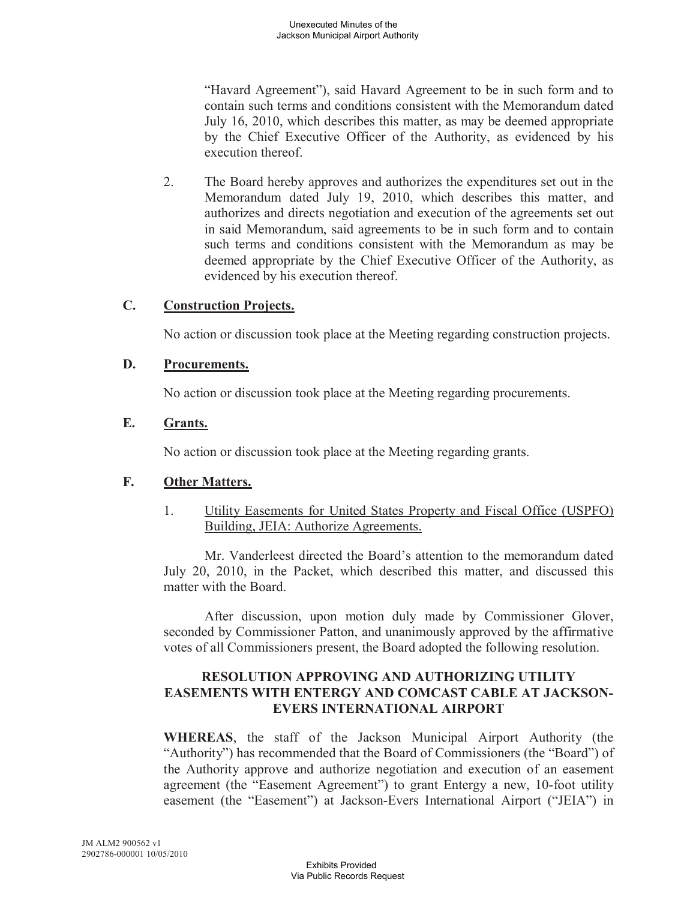"Havard Agreement"), said Havard Agreement to be in such form and to contain such terms and conditions consistent with the Memorandum dated July 16, 2010, which describes this matter, as may be deemed appropriate by the Chief Executive Officer of the Authority, as evidenced by his execution thereof.

2. The Board hereby approves and authorizes the expenditures set out in the Memorandum dated July 19, 2010, which describes this matter, and authorizes and directs negotiation and execution of the agreements set out in said Memorandum, said agreements to be in such form and to contain such terms and conditions consistent with the Memorandum as may be deemed appropriate by the Chief Executive Officer of the Authority, as evidenced by his execution thereof.

### **C. Construction Projects.**

No action or discussion took place at the Meeting regarding construction projects.

## **D. Procurements.**

No action or discussion took place at the Meeting regarding procurements.

### **E. Grants.**

No action or discussion took place at the Meeting regarding grants.

## **F. Other Matters.**

1. Utility Easements for United States Property and Fiscal Office (USPFO) Building, JEIA: Authorize Agreements.

Mr. Vanderleest directed the Board's attention to the memorandum dated July 20, 2010, in the Packet, which described this matter, and discussed this matter with the Board.

After discussion, upon motion duly made by Commissioner Glover, seconded by Commissioner Patton, and unanimously approved by the affirmative votes of all Commissioners present, the Board adopted the following resolution.

#### **RESOLUTION APPROVING AND AUTHORIZING UTILITY EASEMENTS WITH ENTERGY AND COMCAST CABLE AT JACKSON-EVERS INTERNATIONAL AIRPORT**

**WHEREAS**, the staff of the Jackson Municipal Airport Authority (the "Authority") has recommended that the Board of Commissioners (the "Board") of the Authority approve and authorize negotiation and execution of an easement agreement (the "Easement Agreement") to grant Entergy a new, 10-foot utility easement (the "Easement") at Jackson-Evers International Airport ("JEIA") in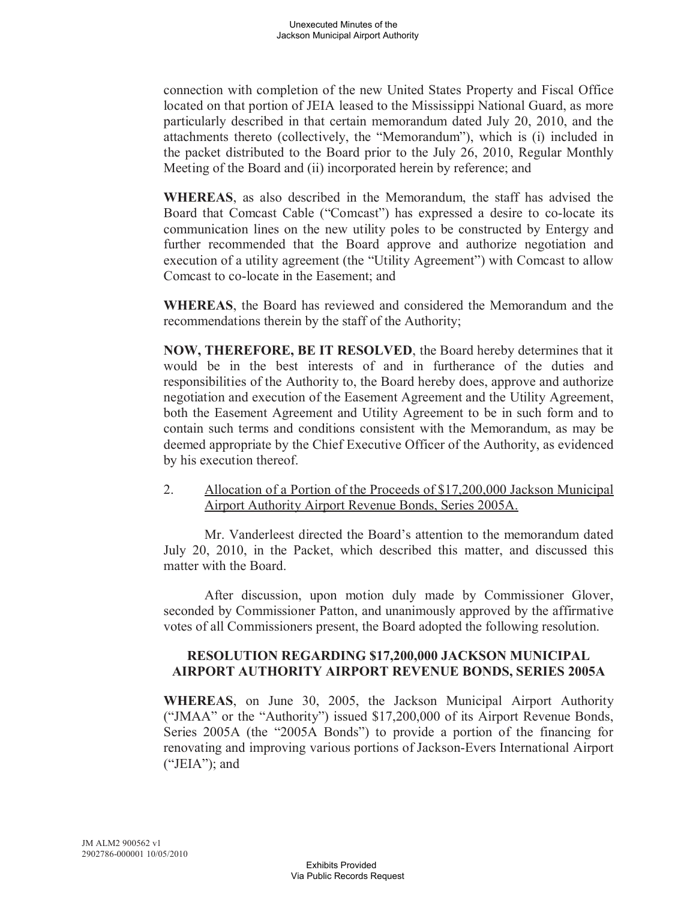connection with completion of the new United States Property and Fiscal Office located on that portion of JEIA leased to the Mississippi National Guard, as more particularly described in that certain memorandum dated July 20, 2010, and the attachments thereto (collectively, the "Memorandum"), which is (i) included in the packet distributed to the Board prior to the July 26, 2010, Regular Monthly Meeting of the Board and (ii) incorporated herein by reference; and

**WHEREAS**, as also described in the Memorandum, the staff has advised the Board that Comcast Cable ("Comcast") has expressed a desire to co-locate its communication lines on the new utility poles to be constructed by Entergy and further recommended that the Board approve and authorize negotiation and execution of a utility agreement (the "Utility Agreement") with Comcast to allow Comcast to co-locate in the Easement; and

**WHEREAS**, the Board has reviewed and considered the Memorandum and the recommendations therein by the staff of the Authority;

**NOW, THEREFORE, BE IT RESOLVED**, the Board hereby determines that it would be in the best interests of and in furtherance of the duties and responsibilities of the Authority to, the Board hereby does, approve and authorize negotiation and execution of the Easement Agreement and the Utility Agreement, both the Easement Agreement and Utility Agreement to be in such form and to contain such terms and conditions consistent with the Memorandum, as may be deemed appropriate by the Chief Executive Officer of the Authority, as evidenced by his execution thereof.

2. Allocation of a Portion of the Proceeds of \$17,200,000 Jackson Municipal Airport Authority Airport Revenue Bonds, Series 2005A.

Mr. Vanderleest directed the Board's attention to the memorandum dated July 20, 2010, in the Packet, which described this matter, and discussed this matter with the Board.

After discussion, upon motion duly made by Commissioner Glover, seconded by Commissioner Patton, and unanimously approved by the affirmative votes of all Commissioners present, the Board adopted the following resolution.

### **RESOLUTION REGARDING \$17,200,000 JACKSON MUNICIPAL AIRPORT AUTHORITY AIRPORT REVENUE BONDS, SERIES 2005A**

**WHEREAS**, on June 30, 2005, the Jackson Municipal Airport Authority ("JMAA" or the "Authority") issued \$17,200,000 of its Airport Revenue Bonds, Series 2005A (the "2005A Bonds") to provide a portion of the financing for renovating and improving various portions of Jackson-Evers International Airport  $("JEIA")$ ; and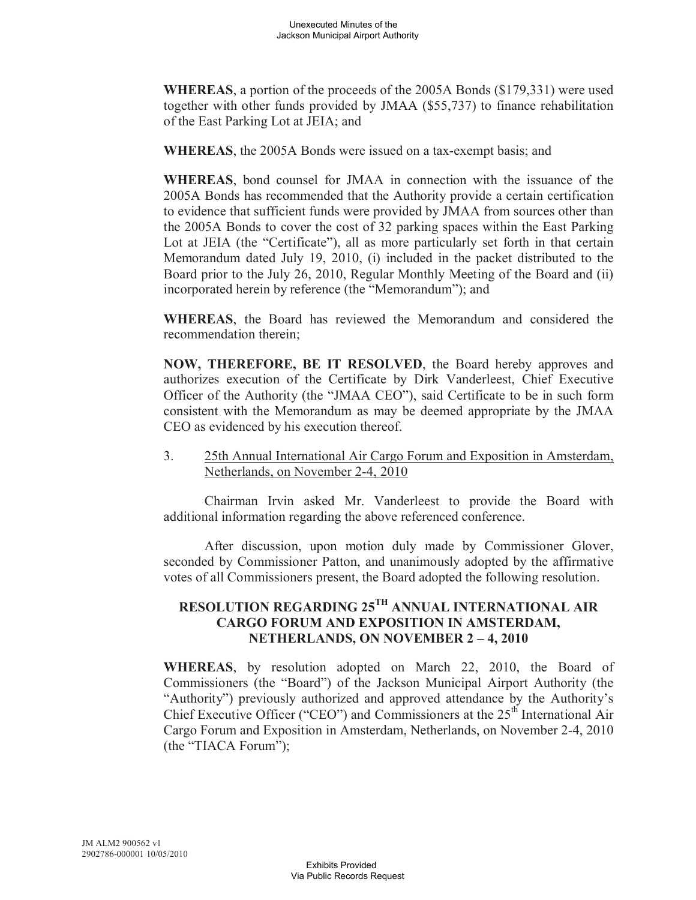**WHEREAS**, a portion of the proceeds of the 2005A Bonds (\$179,331) were used together with other funds provided by JMAA (\$55,737) to finance rehabilitation of the East Parking Lot at JEIA; and

**WHEREAS**, the 2005A Bonds were issued on a tax-exempt basis; and

**WHEREAS**, bond counsel for JMAA in connection with the issuance of the 2005A Bonds has recommended that the Authority provide a certain certification to evidence that sufficient funds were provided by JMAA from sources other than the 2005A Bonds to cover the cost of 32 parking spaces within the East Parking Lot at JEIA (the "Certificate"), all as more particularly set forth in that certain Memorandum dated July 19, 2010, (i) included in the packet distributed to the Board prior to the July 26, 2010, Regular Monthly Meeting of the Board and (ii) incorporated herein by reference (the "Memorandum"); and

**WHEREAS**, the Board has reviewed the Memorandum and considered the recommendation therein;

**NOW, THEREFORE, BE IT RESOLVED**, the Board hereby approves and authorizes execution of the Certificate by Dirk Vanderleest, Chief Executive Officer of the Authority (the "JMAA CEO"), said Certificate to be in such form consistent with the Memorandum as may be deemed appropriate by the JMAA CEO as evidenced by his execution thereof.

3. 25th Annual International Air Cargo Forum and Exposition in Amsterdam, Netherlands, on November 2-4, 2010

Chairman Irvin asked Mr. Vanderleest to provide the Board with additional information regarding the above referenced conference.

After discussion, upon motion duly made by Commissioner Glover, seconded by Commissioner Patton, and unanimously adopted by the affirmative votes of all Commissioners present, the Board adopted the following resolution.

# **RESOLUTION REGARDING 25TH ANNUAL INTERNATIONAL AIR CARGO FORUM AND EXPOSITION IN AMSTERDAM, NETHERLANDS, ON NOVEMBER 2 – 4, 2010**

**WHEREAS**, by resolution adopted on March 22, 2010, the Board of Commissioners (the "Board") of the Jackson Municipal Airport Authority (the "Authority") previously authorized and approved attendance by the Authority's Chief Executive Officer ("CEO") and Commissioners at the 25<sup>th</sup> International Air Cargo Forum and Exposition in Amsterdam, Netherlands, on November 2-4, 2010 (the "TIACA Forum");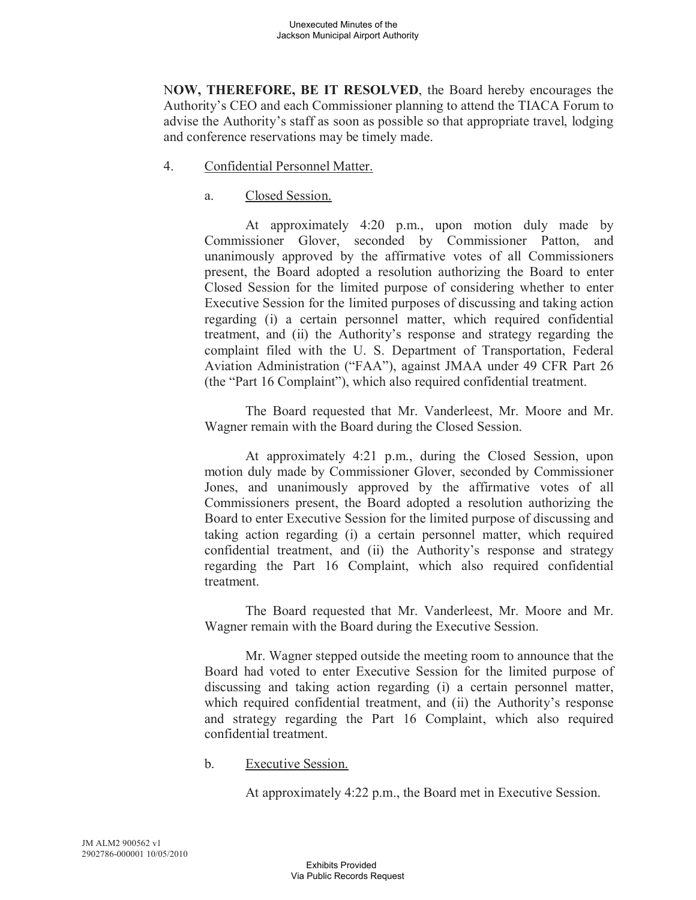N**OW, THEREFORE, BE IT RESOLVED**, the Board hereby encourages the Authority's CEO and each Commissioner planning to attend the TIACA Forum to advise the Authority's staff as soon as possible so that appropriate travel, lodging and conference reservations may be timely made.

- 4. Confidential Personnel Matter.
	- a. Closed Session.

At approximately 4:20 p.m., upon motion duly made by Commissioner Glover, seconded by Commissioner Patton, and unanimously approved by the affirmative votes of all Commissioners present, the Board adopted a resolution authorizing the Board to enter Closed Session for the limited purpose of considering whether to enter Executive Session for the limited purposes of discussing and taking action regarding (i) a certain personnel matter, which required confidential treatment, and (ii) the Authority's response and strategy regarding the complaint filed with the U. S. Department of Transportation, Federal Aviation Administration ("FAA"), against JMAA under 49 CFR Part 26 (the "Part 16 Complaint"), which also required confidential treatment.

The Board requested that Mr. Vanderleest, Mr. Moore and Mr. Wagner remain with the Board during the Closed Session.

At approximately 4:21 p.m., during the Closed Session, upon motion duly made by Commissioner Glover, seconded by Commissioner Jones, and unanimously approved by the affirmative votes of all Commissioners present, the Board adopted a resolution authorizing the Board to enter Executive Session for the limited purpose of discussing and taking action regarding (i) a certain personnel matter, which required confidential treatment, and (ii) the Authority's response and strategy regarding the Part 16 Complaint, which also required confidential treatment.

The Board requested that Mr. Vanderleest, Mr. Moore and Mr. Wagner remain with the Board during the Executive Session.

Mr. Wagner stepped outside the meeting room to announce that the Board had voted to enter Executive Session for the limited purpose of discussing and taking action regarding (i) a certain personnel matter, which required confidential treatment, and (ii) the Authority's response and strategy regarding the Part 16 Complaint, which also required confidential treatment.

b. Executive Session.

At approximately 4:22 p.m., the Board met in Executive Session.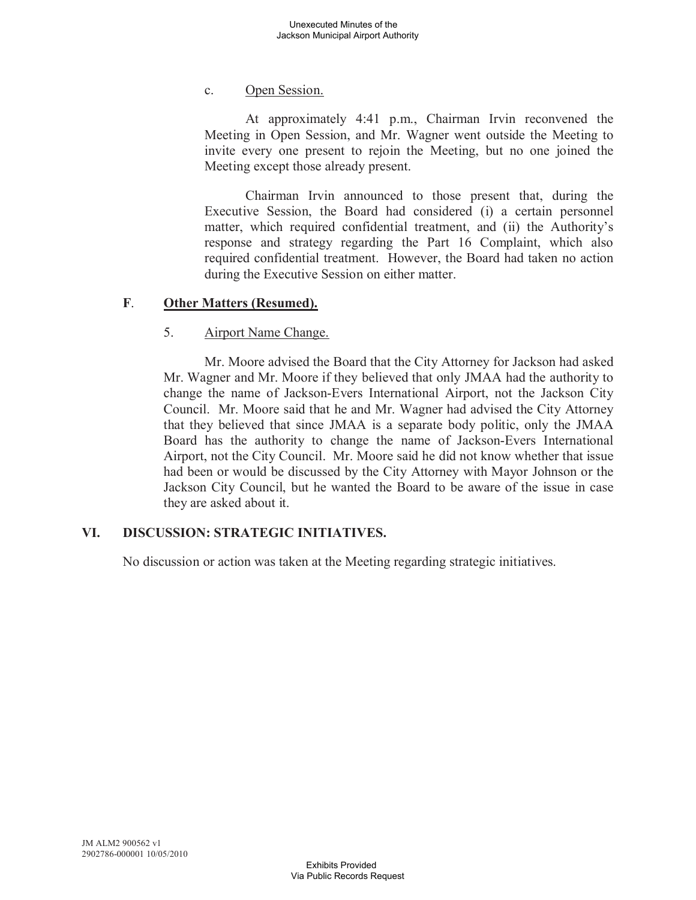## c. Open Session.

At approximately 4:41 p.m., Chairman Irvin reconvened the Meeting in Open Session, and Mr. Wagner went outside the Meeting to invite every one present to rejoin the Meeting, but no one joined the Meeting except those already present.

Chairman Irvin announced to those present that, during the Executive Session, the Board had considered (i) a certain personnel matter, which required confidential treatment, and (ii) the Authority's response and strategy regarding the Part 16 Complaint, which also required confidential treatment. However, the Board had taken no action during the Executive Session on either matter.

## **F**. **Other Matters (Resumed).**

### 5. Airport Name Change.

Mr. Moore advised the Board that the City Attorney for Jackson had asked Mr. Wagner and Mr. Moore if they believed that only JMAA had the authority to change the name of Jackson-Evers International Airport, not the Jackson City Council. Mr. Moore said that he and Mr. Wagner had advised the City Attorney that they believed that since JMAA is a separate body politic, only the JMAA Board has the authority to change the name of Jackson-Evers International Airport, not the City Council. Mr. Moore said he did not know whether that issue had been or would be discussed by the City Attorney with Mayor Johnson or the Jackson City Council, but he wanted the Board to be aware of the issue in case they are asked about it.

## **VI. DISCUSSION: STRATEGIC INITIATIVES.**

No discussion or action was taken at the Meeting regarding strategic initiatives.